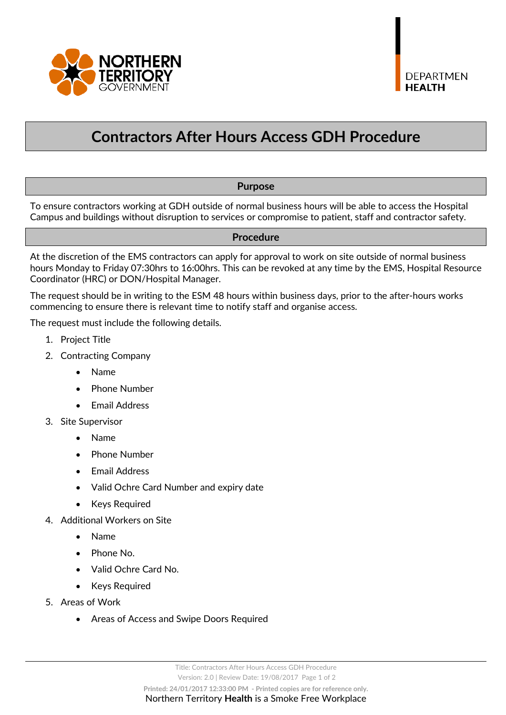

# **Contractors After Hours Access GDH Procedure**

### **Purpose**

To ensure contractors working at GDH outside of normal business hours will be able to access the Hospital Campus and buildings without disruption to services or compromise to patient, staff and contractor safety.

#### **Procedure**

At the discretion of the EMS contractors can apply for approval to work on site outside of normal business hours Monday to Friday 07:30hrs to 16:00hrs. This can be revoked at any time by the EMS, Hospital Resource Coordinator (HRC) or DON/Hospital Manager.

The request should be in writing to the ESM 48 hours within business days, prior to the after-hours works commencing to ensure there is relevant time to notify staff and organise access.

The request must include the following details.

- 1. Project Title
- 2. Contracting Company
	- Name
	- Phone Number
	- Email Address
- 3. Site Supervisor
	- Name
	- Phone Number
	- Email Address
	- Valid Ochre Card Number and expiry date
	- Keys Required
- 4. Additional Workers on Site
	- Name
	- Phone No.
	- Valid Ochre Card No.
	- Keys Required
- 5. Areas of Work
	- Areas of Access and Swipe Doors Required